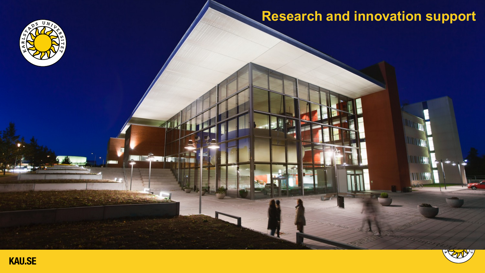## **Research and innovation support**



IT TORE



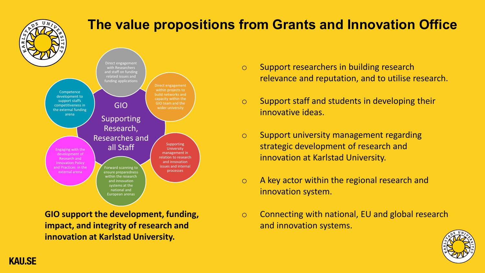

## **The value propositions from Grants and Innovation Office**



**GIO support the development, funding, impact, and integrity of research and innovation at Karlstad University.**

- o Support researchers in building research relevance and reputation, and to utilise research.
- $\circ$  Support staff and students in developing their innovative ideas.
- o Support university management regarding strategic development of research and innovation at Karlstad University.
- o A key actor within the regional research and innovation system.
- o Connecting with national, EU and global research and innovation systems.

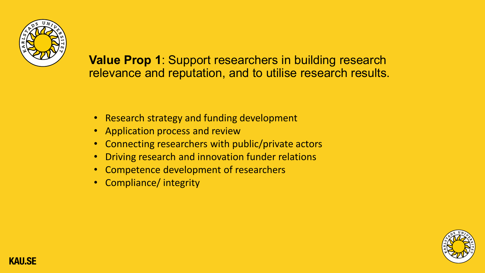

**Value Prop 1**: Support researchers in building research relevance and reputation, and to utilise research results.

- Research strategy and funding development
- Application process and review
- Connecting researchers with public/private actors
- Driving research and innovation funder relations
- Competence development of researchers
- Compliance/ integrity

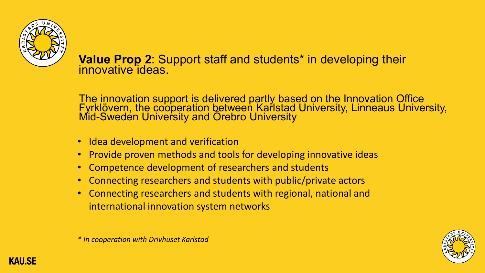

## **Value Prop 2**: Support staff and students\* in developing their innovative ideas.

The innovation support is delivered partly based on the Innovation Office Fyrklövern, the cooperation between Karlstad University, Linneaus University,<br>Mid-Sweden University and Örebro University

- Idea development and verification
- Provide proven methods and tools for developing innovative ideas
- Competence development of researchers and students
- Connecting researchers and students with public/private actors
- Connecting researchers and students with regional, national and international innovation system networks



*\* In cooperation with Drivhuset Karlstad*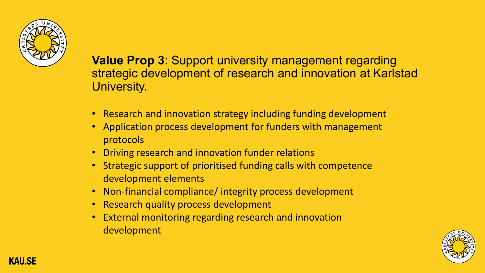

**Value Prop 3**: Support university management regarding strategic development of research and innovation at Karlstad University.

- Research and innovation strategy including funding development
- Application process development for funders with management protocols
- Driving research and innovation funder relations
- Strategic support of prioritised funding calls with competence development elements
- Non-financial compliance/ integrity process development
- Research quality process development
- External monitoring regarding research and innovation development

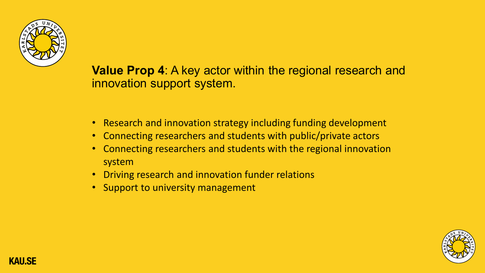

**Value Prop 4**: A key actor within the regional research and innovation support system.

- Research and innovation strategy including funding development
- Connecting researchers and students with public/private actors
- Connecting researchers and students with the regional innovation system
- Driving research and innovation funder relations
- Support to university management